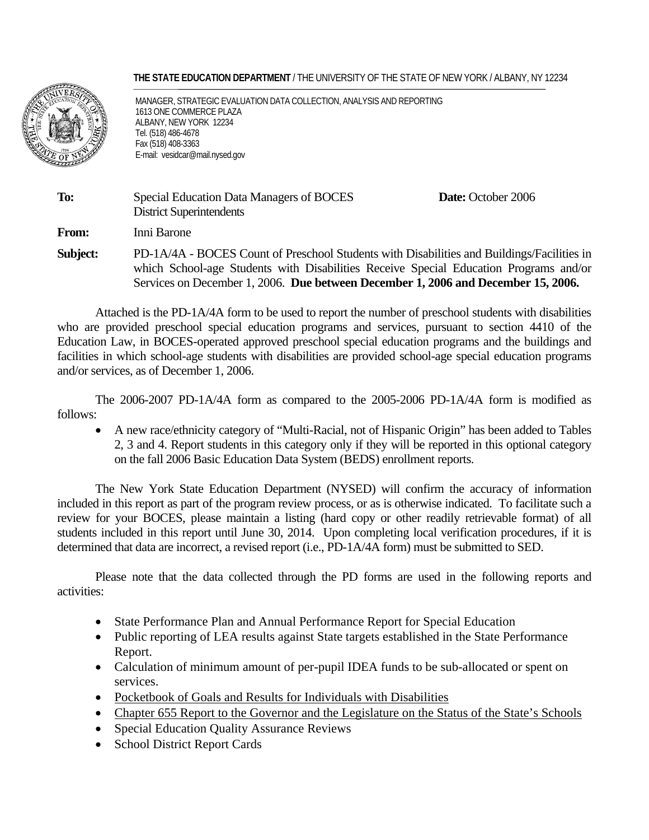#### **THE STATE EDUCATION DEPARTMENT** / THE UNIVERSITY OF THE STATE OF NEW YORK / ALBANY, NY 12234



 MANAGER, STRATEGIC EVALUATION DATA COLLECTION, ANALYSIS AND REPORTING 1613 ONE COMMERCE PLAZA ALBANY, NEW YORK 12234 Tel. (518) 486-4678 Fax (518) 408-3363 E-mail: vesidcar@mail.nysed.gov

| To:          | Special Education Data Managers of BOCES<br><b>District Superintendents</b>                                                                                                                                                                                              | Date: October 2006 |
|--------------|--------------------------------------------------------------------------------------------------------------------------------------------------------------------------------------------------------------------------------------------------------------------------|--------------------|
| <b>From:</b> | Inni Barone                                                                                                                                                                                                                                                              |                    |
| Subject:     | PD-1A/4A - BOCES Count of Preschool Students with Disabilities and Buildings/Facilities in<br>which School-age Students with Disabilities Receive Special Education Programs and/or<br>Services on December 1, 2006. Due between December 1, 2006 and December 15, 2006. |                    |

 Attached is the PD-1A/4A form to be used to report the number of preschool students with disabilities who are provided preschool special education programs and services, pursuant to section 4410 of the Education Law, in BOCES-operated approved preschool special education programs and the buildings and facilities in which school-age students with disabilities are provided school-age special education programs and/or services, as of December 1, 2006.

 The 2006-2007 PD-1A/4A form as compared to the 2005-2006 PD-1A/4A form is modified as follows:

• A new race/ethnicity category of "Multi-Racial, not of Hispanic Origin" has been added to Tables 2, 3 and 4. Report students in this category only if they will be reported in this optional category on the fall 2006 Basic Education Data System (BEDS) enrollment reports.

The New York State Education Department (NYSED) will confirm the accuracy of information included in this report as part of the program review process, or as is otherwise indicated. To facilitate such a review for your BOCES, please maintain a listing (hard copy or other readily retrievable format) of all students included in this report until June 30, 2014. Upon completing local verification procedures, if it is determined that data are incorrect, a revised report (i.e., PD-1A/4A form) must be submitted to SED.

Please note that the data collected through the PD forms are used in the following reports and activities:

- State Performance Plan and Annual Performance Report for Special Education
- Public reporting of LEA results against State targets established in the State Performance Report.
- Calculation of minimum amount of per-pupil IDEA funds to be sub-allocated or spent on services.
- Pocketbook of Goals and Results for Individuals with Disabilities
- Chapter 655 Report to the Governor and the Legislature on the Status of the State's Schools
- Special Education Quality Assurance Reviews
- School District Report Cards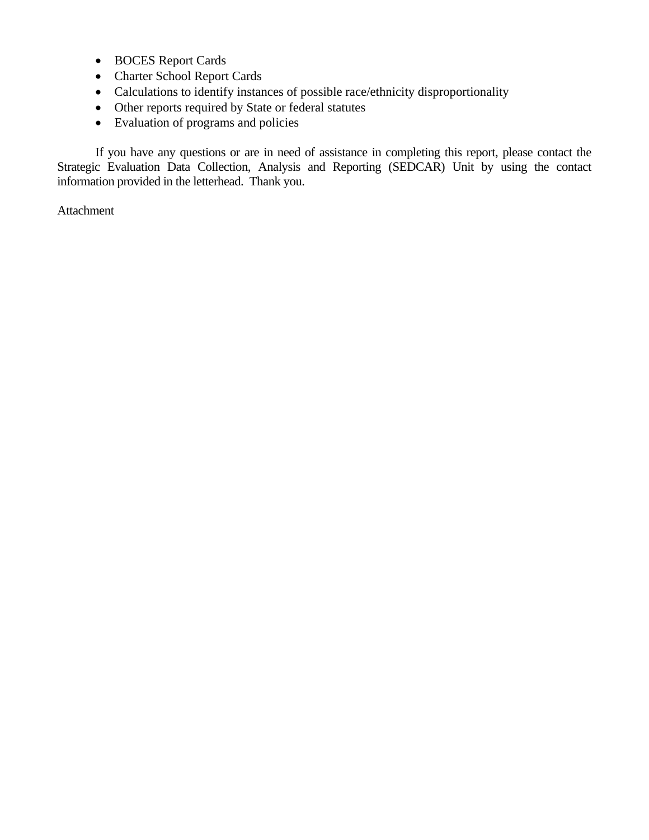- BOCES Report Cards
- Charter School Report Cards
- Calculations to identify instances of possible race/ethnicity disproportionality
- Other reports required by State or federal statutes
- Evaluation of programs and policies

If you have any questions or are in need of assistance in completing this report, please contact the Strategic Evaluation Data Collection, Analysis and Reporting (SEDCAR) Unit by using the contact information provided in the letterhead. Thank you.

Attachment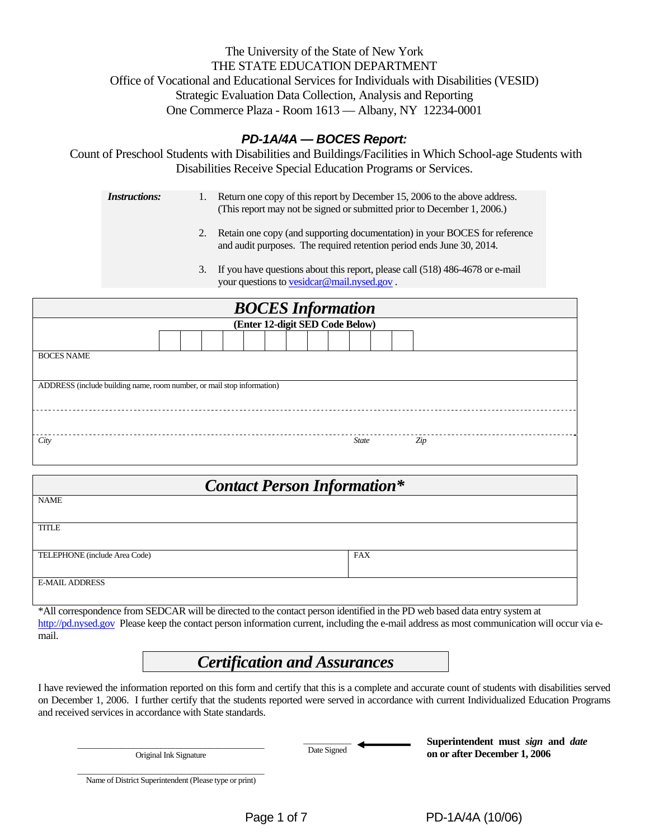## The University of the State of New York THE STATE EDUCATION DEPARTMENT Office of Vocational and Educational Services for Individuals with Disabilities (VESID) Strategic Evaluation Data Collection, Analysis and Reporting One Commerce Plaza - Room 1613 — Albany, NY 12234-0001

## *PD-1A/4A — BOCES Report:*

Count of Preschool Students with Disabilities and Buildings/Facilities in Which School-age Students with Disabilities Receive Special Education Programs or Services.

| <i>Instructions:</i> | Return one copy of this report by December 15, 2006 to the above address. |
|----------------------|---------------------------------------------------------------------------|
|                      | (This report may not be signed or submitted prior to December 1, 2006.)   |

- 2. Retain one copy (and supporting documentation) in your BOCES for reference and audit purposes. The required retention period ends June 30, 2014.
- 3. If you have questions about this report, please call (518) 486-4678 or e-mail your questions to vesidcar@mail.nysed.gov .

| <b>BOCES</b> Information                                               |  |  |  |  |  |  |  |  |  |              |  |     |
|------------------------------------------------------------------------|--|--|--|--|--|--|--|--|--|--------------|--|-----|
| (Enter 12-digit SED Code Below)                                        |  |  |  |  |  |  |  |  |  |              |  |     |
|                                                                        |  |  |  |  |  |  |  |  |  |              |  |     |
| <b>BOCES NAME</b>                                                      |  |  |  |  |  |  |  |  |  |              |  |     |
|                                                                        |  |  |  |  |  |  |  |  |  |              |  |     |
| ADDRESS (include building name, room number, or mail stop information) |  |  |  |  |  |  |  |  |  |              |  |     |
|                                                                        |  |  |  |  |  |  |  |  |  |              |  |     |
|                                                                        |  |  |  |  |  |  |  |  |  |              |  |     |
| City                                                                   |  |  |  |  |  |  |  |  |  | <b>State</b> |  | Zip |
|                                                                        |  |  |  |  |  |  |  |  |  |              |  |     |

| <b>Contact Person Information*</b> |            |  |  |  |  |  |  |
|------------------------------------|------------|--|--|--|--|--|--|
| <b>NAME</b>                        |            |  |  |  |  |  |  |
| <b>TITLE</b>                       |            |  |  |  |  |  |  |
| TELEPHONE (include Area Code)      | <b>FAX</b> |  |  |  |  |  |  |
| <b>E-MAIL ADDRESS</b>              |            |  |  |  |  |  |  |

\*All correspondence from SEDCAR will be directed to the contact person identified in the PD web based data entry system at http://pd.nysed.gov Please keep the contact person information current, including the e-mail address as most communication will occur via email.

# *Certification and Assurances*

I have reviewed the information reported on this form and certify that this is a complete and accurate count of students with disabilities served on December 1, 2006. I further certify that the students reported were served in accordance with current Individualized Education Programs and received services in accordance with State standards.

\_\_\_\_\_\_\_\_\_\_\_\_\_\_\_\_\_\_\_\_\_\_\_\_\_\_\_\_\_\_\_\_\_\_\_\_\_\_\_\_\_\_\_\_\_\_\_ Original Ink Signature

 $\overline{\phantom{a}}$ 

Date Signed <br>Date Signed **Superintendent must** *sign* and *date*<br>on on often December 1, 2006 **on or after December 1, 2006** 

\_\_\_\_\_\_\_\_\_\_\_\_\_\_\_\_\_\_\_\_\_\_\_\_\_\_\_\_\_\_\_\_\_\_\_\_\_\_\_\_\_\_\_\_\_\_\_ Name of District Superintendent (Please type or print)

Page 1 of 7 PD-1A/4A (10/06)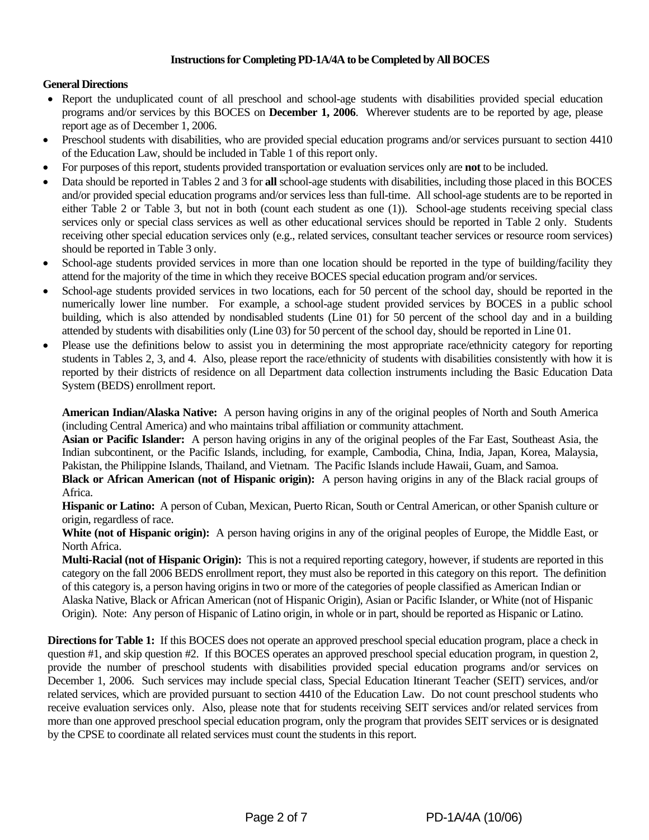#### **Instructions for Completing PD-1A/4A to be Completed by All BOCES**

#### **General Directions**

- Report the unduplicated count of all preschool and school-age students with disabilities provided special education programs and/or services by this BOCES on **December 1, 2006**. Wherever students are to be reported by age, please report age as of December 1, 2006.
- Preschool students with disabilities, who are provided special education programs and/or services pursuant to section 4410 of the Education Law, should be included in Table 1 of this report only.
- For purposes of this report, students provided transportation or evaluation services only are **not** to be included.
- Data should be reported in Tables 2 and 3 for **all** school-age students with disabilities, including those placed in this BOCES and/or provided special education programs and/or services less than full-time. All school-age students are to be reported in either Table 2 or Table 3, but not in both (count each student as one (1)). School-age students receiving special class services only or special class services as well as other educational services should be reported in Table 2 only. Students receiving other special education services only (e.g., related services, consultant teacher services or resource room services) should be reported in Table 3 only.
- School-age students provided services in more than one location should be reported in the type of building/facility they attend for the majority of the time in which they receive BOCES special education program and/or services.
- School-age students provided services in two locations, each for 50 percent of the school day, should be reported in the numerically lower line number. For example, a school-age student provided services by BOCES in a public school building, which is also attended by nondisabled students (Line 01) for 50 percent of the school day and in a building attended by students with disabilities only (Line 03) for 50 percent of the school day, should be reported in Line 01.
- Please use the definitions below to assist you in determining the most appropriate race/ethnicity category for reporting students in Tables 2, 3, and 4. Also, please report the race/ethnicity of students with disabilities consistently with how it is reported by their districts of residence on all Department data collection instruments including the Basic Education Data System (BEDS) enrollment report.

**American Indian/Alaska Native:** A person having origins in any of the original peoples of North and South America (including Central America) and who maintains tribal affiliation or community attachment.

**Asian or Pacific Islander:** A person having origins in any of the original peoples of the Far East, Southeast Asia, the Indian subcontinent, or the Pacific Islands, including, for example, Cambodia, China, India, Japan, Korea, Malaysia, Pakistan, the Philippine Islands, Thailand, and Vietnam. The Pacific Islands include Hawaii, Guam, and Samoa.

**Black or African American (not of Hispanic origin):** A person having origins in any of the Black racial groups of Africa.

**Hispanic or Latino:** A person of Cuban, Mexican, Puerto Rican, South or Central American, or other Spanish culture or origin, regardless of race.

**White (not of Hispanic origin):** A person having origins in any of the original peoples of Europe, the Middle East, or North Africa.

**Multi-Racial (not of Hispanic Origin):** This is not a required reporting category, however, if students are reported in this category on the fall 2006 BEDS enrollment report, they must also be reported in this category on this report. The definition of this category is, a person having origins in two or more of the categories of people classified as American Indian or Alaska Native, Black or African American (not of Hispanic Origin), Asian or Pacific Islander, or White (not of Hispanic Origin). Note: Any person of Hispanic of Latino origin, in whole or in part, should be reported as Hispanic or Latino.

**Directions for Table 1:** If this BOCES does not operate an approved preschool special education program, place a check in question #1, and skip question #2. If this BOCES operates an approved preschool special education program, in question 2, provide the number of preschool students with disabilities provided special education programs and/or services on December 1, 2006. Such services may include special class, Special Education Itinerant Teacher (SEIT) services, and/or related services, which are provided pursuant to section 4410 of the Education Law. Do not count preschool students who receive evaluation services only. Also, please note that for students receiving SEIT services and/or related services from more than one approved preschool special education program, only the program that provides SEIT services or is designated by the CPSE to coordinate all related services must count the students in this report.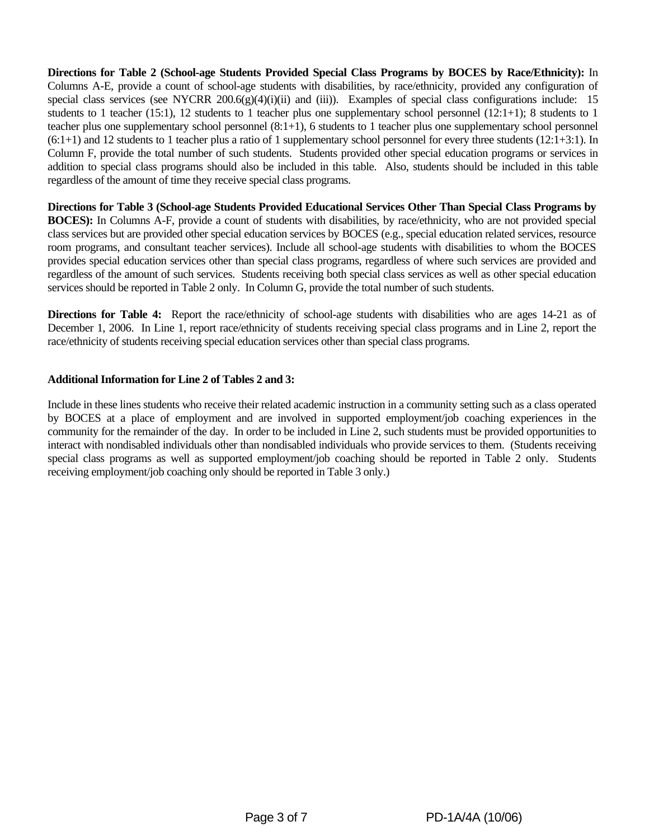**Directions for Table 2 (School-age Students Provided Special Class Programs by BOCES by Race/Ethnicity):** In Columns A-E, provide a count of school-age students with disabilities, by race/ethnicity, provided any configuration of special class services (see NYCRR 200.6(g)(4)(i)(ii) and (iii)). Examples of special class configurations include: 15 students to 1 teacher (15:1), 12 students to 1 teacher plus one supplementary school personnel (12:1+1); 8 students to 1 teacher plus one supplementary school personnel (8:1+1), 6 students to 1 teacher plus one supplementary school personnel (6:1+1) and 12 students to 1 teacher plus a ratio of 1 supplementary school personnel for every three students (12:1+3:1). In Column F, provide the total number of such students. Students provided other special education programs or services in addition to special class programs should also be included in this table. Also, students should be included in this table regardless of the amount of time they receive special class programs.

**Directions for Table 3 (School-age Students Provided Educational Services Other Than Special Class Programs by BOCES):** In Columns A-F, provide a count of students with disabilities, by race/ethnicity, who are not provided special class services but are provided other special education services by BOCES (e.g., special education related services, resource room programs, and consultant teacher services). Include all school-age students with disabilities to whom the BOCES provides special education services other than special class programs, regardless of where such services are provided and regardless of the amount of such services. Students receiving both special class services as well as other special education services should be reported in Table 2 only. In Column G, provide the total number of such students.

**Directions for Table 4:** Report the race/ethnicity of school-age students with disabilities who are ages 14-21 as of December 1, 2006. In Line 1, report race/ethnicity of students receiving special class programs and in Line 2, report the race/ethnicity of students receiving special education services other than special class programs.

#### **Additional Information for Line 2 of Tables 2 and 3:**

Include in these lines students who receive their related academic instruction in a community setting such as a class operated by BOCES at a place of employment and are involved in supported employment/job coaching experiences in the community for the remainder of the day. In order to be included in Line 2, such students must be provided opportunities to interact with nondisabled individuals other than nondisabled individuals who provide services to them. (Students receiving special class programs as well as supported employment/job coaching should be reported in Table 2 only. Students receiving employment/job coaching only should be reported in Table 3 only.)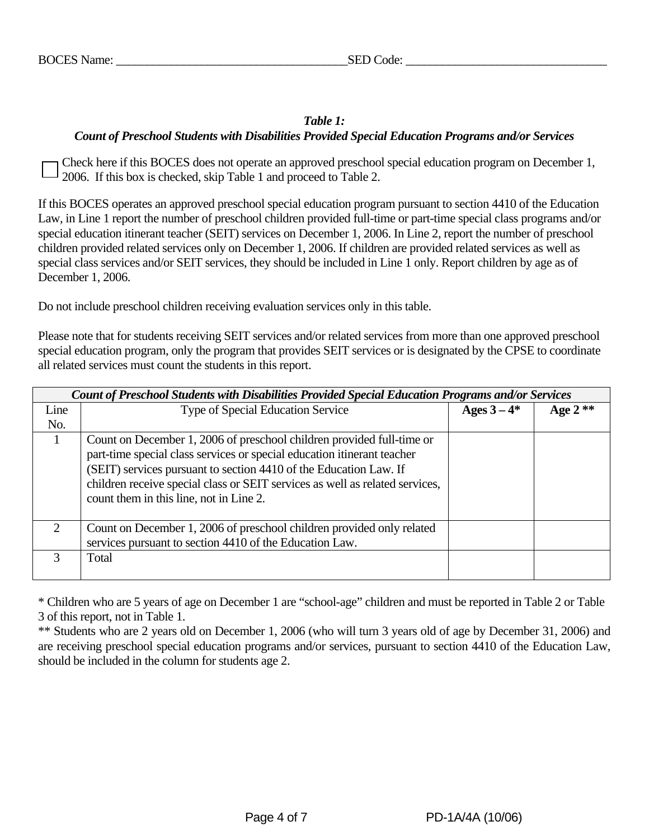# *Table 1: Count of Preschool Students with Disabilities Provided Special Education Programs and/or Services*

Check here if this BOCES does not operate an approved preschool special education program on December 1, 2006. If this box is checked, skip Table 1 and proceed to Table 2.

If this BOCES operates an approved preschool special education program pursuant to section 4410 of the Education Law, in Line 1 report the number of preschool children provided full-time or part-time special class programs and/or special education itinerant teacher (SEIT) services on December 1, 2006. In Line 2, report the number of preschool children provided related services only on December 1, 2006. If children are provided related services as well as special class services and/or SEIT services, they should be included in Line 1 only. Report children by age as of December 1, 2006.

Do not include preschool children receiving evaluation services only in this table.

Please note that for students receiving SEIT services and/or related services from more than one approved preschool special education program, only the program that provides SEIT services or is designated by the CPSE to coordinate all related services must count the students in this report.

|      | Count of Preschool Students with Disabilities Provided Special Education Programs and/or Services                                                                                                                                                                                                                                                |             |           |  |  |  |  |  |  |  |  |
|------|--------------------------------------------------------------------------------------------------------------------------------------------------------------------------------------------------------------------------------------------------------------------------------------------------------------------------------------------------|-------------|-----------|--|--|--|--|--|--|--|--|
| Line | Type of Special Education Service                                                                                                                                                                                                                                                                                                                | Ages $3-4*$ | Age $2**$ |  |  |  |  |  |  |  |  |
| No.  |                                                                                                                                                                                                                                                                                                                                                  |             |           |  |  |  |  |  |  |  |  |
|      | Count on December 1, 2006 of preschool children provided full-time or<br>part-time special class services or special education itinerant teacher<br>(SEIT) services pursuant to section 4410 of the Education Law. If<br>children receive special class or SEIT services as well as related services,<br>count them in this line, not in Line 2. |             |           |  |  |  |  |  |  |  |  |
| 2    | Count on December 1, 2006 of preschool children provided only related<br>services pursuant to section 4410 of the Education Law.                                                                                                                                                                                                                 |             |           |  |  |  |  |  |  |  |  |
| 3    | Total                                                                                                                                                                                                                                                                                                                                            |             |           |  |  |  |  |  |  |  |  |

\* Children who are 5 years of age on December 1 are "school-age" children and must be reported in Table 2 or Table 3 of this report, not in Table 1.

\*\* Students who are 2 years old on December 1, 2006 (who will turn 3 years old of age by December 31, 2006) and are receiving preschool special education programs and/or services, pursuant to section 4410 of the Education Law, should be included in the column for students age 2.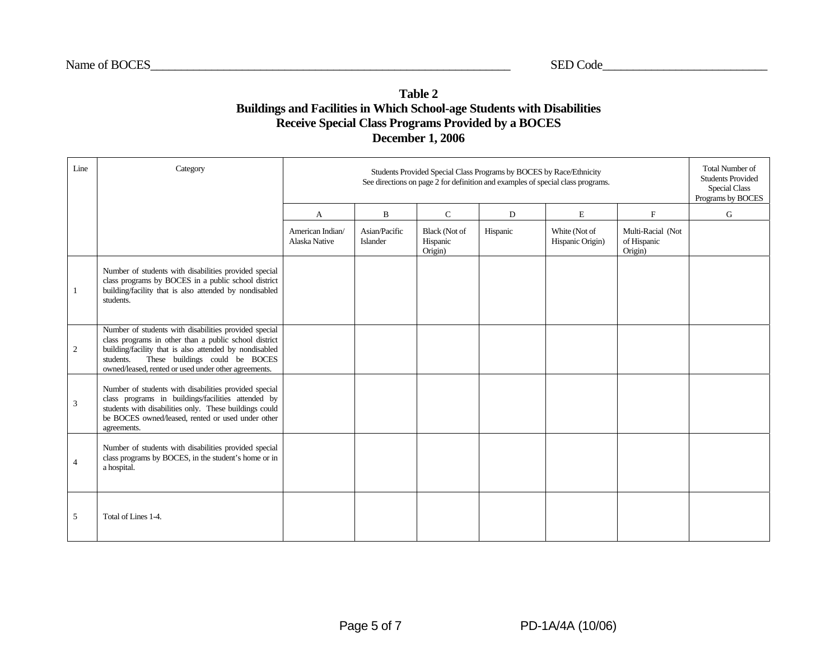## **Table 2 Buildings and Facilities in Which School-age Students with Disabilities Receive Special Class Programs Provided by a BOCES December 1, 2006**

| Line | Category                                                                                                                                                                                                                                                                        |                                  | Students Provided Special Class Programs by BOCES by Race/Ethnicity<br>See directions on page 2 for definition and examples of special class programs.<br>Programs by BOCES |                                      |          |                                   |                                             |   |  |  |  |
|------|---------------------------------------------------------------------------------------------------------------------------------------------------------------------------------------------------------------------------------------------------------------------------------|----------------------------------|-----------------------------------------------------------------------------------------------------------------------------------------------------------------------------|--------------------------------------|----------|-----------------------------------|---------------------------------------------|---|--|--|--|
|      |                                                                                                                                                                                                                                                                                 | A                                | B                                                                                                                                                                           | $\mathsf{C}$                         | D        | $\mathbf E$                       | $\mathbf F$                                 | G |  |  |  |
|      |                                                                                                                                                                                                                                                                                 | American Indian<br>Alaska Native | Asian/Pacific<br>Islander                                                                                                                                                   | Black (Not of<br>Hispanic<br>Origin) | Hispanic | White (Not of<br>Hispanic Origin) | Multi-Racial (Not<br>of Hispanic<br>Origin) |   |  |  |  |
| 1    | Number of students with disabilities provided special<br>class programs by BOCES in a public school district<br>building/facility that is also attended by nondisabled<br>students.                                                                                             |                                  |                                                                                                                                                                             |                                      |          |                                   |                                             |   |  |  |  |
| 2    | Number of students with disabilities provided special<br>class programs in other than a public school district<br>building/facility that is also attended by nondisabled<br>These buildings could be BOCES<br>students.<br>owned/leased, rented or used under other agreements. |                                  |                                                                                                                                                                             |                                      |          |                                   |                                             |   |  |  |  |
| 3    | Number of students with disabilities provided special<br>class programs in buildings/facilities attended by<br>students with disabilities only. These buildings could<br>be BOCES owned/leased, rented or used under other<br>agreements.                                       |                                  |                                                                                                                                                                             |                                      |          |                                   |                                             |   |  |  |  |
| 4    | Number of students with disabilities provided special<br>class programs by BOCES, in the student's home or in<br>a hospital.                                                                                                                                                    |                                  |                                                                                                                                                                             |                                      |          |                                   |                                             |   |  |  |  |
| 5    | Total of Lines 1-4.                                                                                                                                                                                                                                                             |                                  |                                                                                                                                                                             |                                      |          |                                   |                                             |   |  |  |  |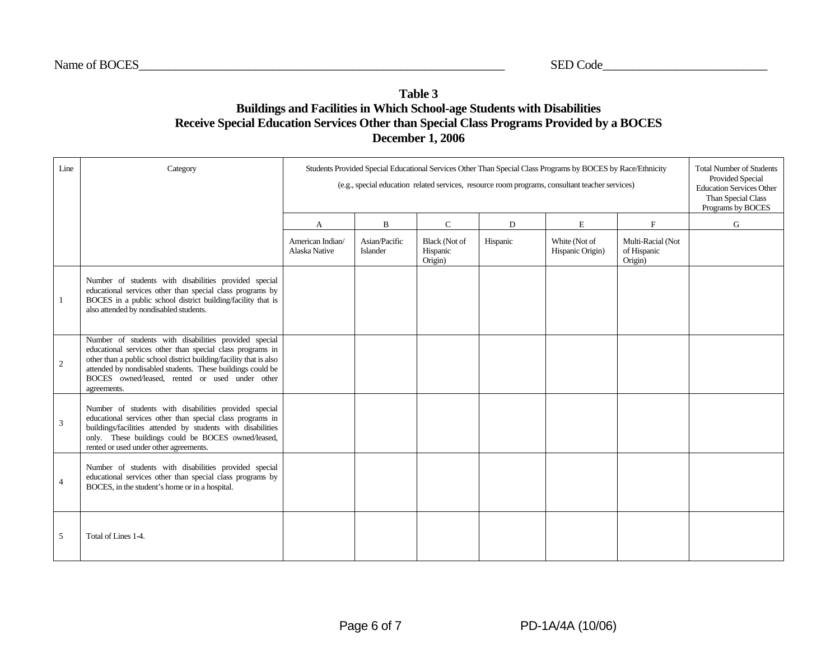## **Table 3 Buildings and Facilities in Which School-age Students with Disabilities Receive Special Education Services Other than Special Class Programs Provided by a BOCES December 1, 2006**

| Line           | Category                                                                                                                                                                                                                                                                                                                | Students Provided Special Educational Services Other Than Special Class Programs by BOCES by Race/Ethnicity<br>(e.g., special education related services, resource room programs, consultant teacher services) | <b>Total Number of Students</b><br><b>Provided Special</b><br><b>Education Services Other</b><br>Than Special Class<br>Programs by BOCES |                                             |          |                                   |                                             |   |
|----------------|-------------------------------------------------------------------------------------------------------------------------------------------------------------------------------------------------------------------------------------------------------------------------------------------------------------------------|----------------------------------------------------------------------------------------------------------------------------------------------------------------------------------------------------------------|------------------------------------------------------------------------------------------------------------------------------------------|---------------------------------------------|----------|-----------------------------------|---------------------------------------------|---|
|                |                                                                                                                                                                                                                                                                                                                         | A                                                                                                                                                                                                              | B                                                                                                                                        | $\mathbf C$                                 | D        | E                                 | $\mathbf F$                                 | G |
|                |                                                                                                                                                                                                                                                                                                                         | American Indian/<br>Alaska Native                                                                                                                                                                              | Asian/Pacific<br>Islander                                                                                                                | <b>Black (Not of</b><br>Hispanic<br>Origin) | Hispanic | White (Not of<br>Hispanic Origin) | Multi-Racial (Not<br>of Hispanic<br>Origin) |   |
| $\mathbf{1}$   | Number of students with disabilities provided special<br>educational services other than special class programs by<br>BOCES in a public school district building/facility that is<br>also attended by nondisabled students.                                                                                             |                                                                                                                                                                                                                |                                                                                                                                          |                                             |          |                                   |                                             |   |
| 2              | Number of students with disabilities provided special<br>educational services other than special class programs in<br>other than a public school district building/facility that is also<br>attended by nondisabled students. These buildings could be<br>BOCES owned/leased, rented or used under other<br>agreements. |                                                                                                                                                                                                                |                                                                                                                                          |                                             |          |                                   |                                             |   |
| $\overline{3}$ | Number of students with disabilities provided special<br>educational services other than special class programs in<br>buildings/facilities attended by students with disabilities<br>only. These buildings could be BOCES owned/leased,<br>rented or used under other agreements.                                       |                                                                                                                                                                                                                |                                                                                                                                          |                                             |          |                                   |                                             |   |
| $\overline{4}$ | Number of students with disabilities provided special<br>educational services other than special class programs by<br>BOCES, in the student's home or in a hospital.                                                                                                                                                    |                                                                                                                                                                                                                |                                                                                                                                          |                                             |          |                                   |                                             |   |
| 5              | Total of Lines 1-4.                                                                                                                                                                                                                                                                                                     |                                                                                                                                                                                                                |                                                                                                                                          |                                             |          |                                   |                                             |   |